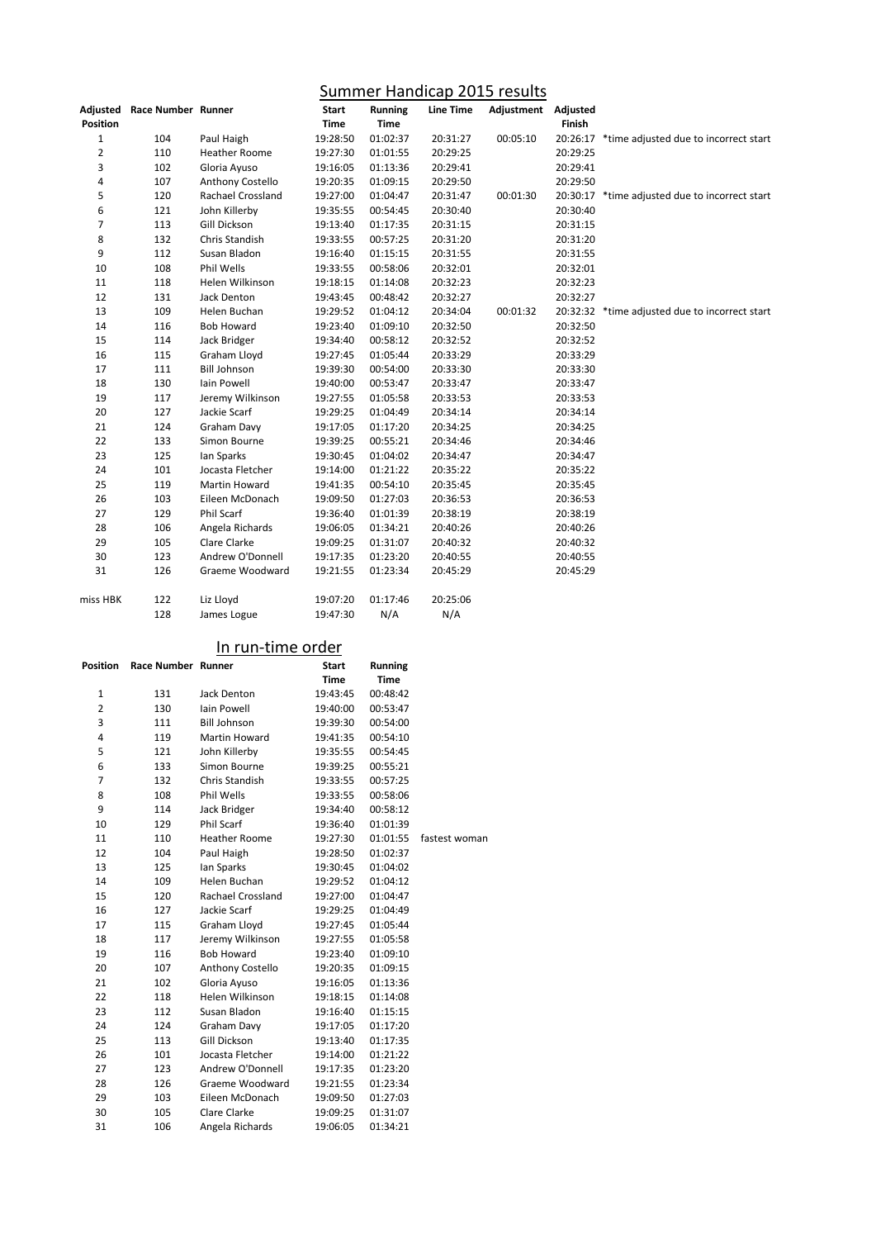## Summer Handicap 2015 results

|                 | Adjusted Race Number Runner |                      | <b>Start</b> | <b>Running</b> | <b>Line Time</b> | Adjustment Adjusted |          |                                                |
|-----------------|-----------------------------|----------------------|--------------|----------------|------------------|---------------------|----------|------------------------------------------------|
| <b>Position</b> |                             |                      | Time         | Time           |                  |                     | Finish   |                                                |
| $\mathbf 1$     | 104                         | Paul Haigh           | 19:28:50     | 01:02:37       | 20:31:27         | 00:05:10            |          | 20:26:17 *time adjusted due to incorrect start |
| $\overline{2}$  | 110                         | <b>Heather Roome</b> | 19:27:30     | 01:01:55       | 20:29:25         |                     | 20:29:25 |                                                |
| 3               | 102                         | Gloria Ayuso         | 19:16:05     | 01:13:36       | 20:29:41         |                     | 20:29:41 |                                                |
| 4               | 107                         | Anthony Costello     | 19:20:35     | 01:09:15       | 20:29:50         |                     | 20:29:50 |                                                |
| 5               | 120                         | Rachael Crossland    | 19:27:00     | 01:04:47       | 20:31:47         | 00:01:30            |          | 20:30:17 *time adjusted due to incorrect start |
| 6               | 121                         | John Killerby        | 19:35:55     | 00:54:45       | 20:30:40         |                     | 20:30:40 |                                                |
| $\overline{7}$  | 113                         | Gill Dickson         | 19:13:40     | 01:17:35       | 20:31:15         |                     | 20:31:15 |                                                |
| 8               | 132                         | Chris Standish       | 19:33:55     | 00:57:25       | 20:31:20         |                     | 20:31:20 |                                                |
| 9               | 112                         | Susan Bladon         | 19:16:40     | 01:15:15       | 20:31:55         |                     | 20:31:55 |                                                |
| 10              | 108                         | Phil Wells           | 19:33:55     | 00:58:06       | 20:32:01         |                     | 20:32:01 |                                                |
| 11              | 118                         | Helen Wilkinson      | 19:18:15     | 01:14:08       | 20:32:23         |                     | 20:32:23 |                                                |
| 12              | 131                         | Jack Denton          | 19:43:45     | 00:48:42       | 20:32:27         |                     | 20:32:27 |                                                |
| 13              | 109                         | Helen Buchan         | 19:29:52     | 01:04:12       | 20:34:04         | 00:01:32            |          | 20:32:32 *time adjusted due to incorrect start |
| 14              | 116                         | <b>Bob Howard</b>    | 19:23:40     | 01:09:10       | 20:32:50         |                     | 20:32:50 |                                                |
| 15              | 114                         | Jack Bridger         | 19:34:40     | 00:58:12       | 20:32:52         |                     | 20:32:52 |                                                |
| 16              | 115                         | Graham Lloyd         | 19:27:45     | 01:05:44       | 20:33:29         |                     | 20:33:29 |                                                |
| 17              | 111                         | <b>Bill Johnson</b>  | 19:39:30     | 00:54:00       | 20:33:30         |                     | 20:33:30 |                                                |
| 18              | 130                         | Iain Powell          | 19:40:00     | 00:53:47       | 20:33:47         |                     | 20:33:47 |                                                |
| 19              | 117                         | Jeremy Wilkinson     | 19:27:55     | 01:05:58       | 20:33:53         |                     | 20:33:53 |                                                |
| 20              | 127                         | Jackie Scarf         | 19:29:25     | 01:04:49       | 20:34:14         |                     | 20:34:14 |                                                |
| 21              | 124                         | Graham Davy          | 19:17:05     | 01:17:20       | 20:34:25         |                     | 20:34:25 |                                                |
| 22              | 133                         | Simon Bourne         | 19:39:25     | 00:55:21       | 20:34:46         |                     | 20:34:46 |                                                |
| 23              | 125                         | Ian Sparks           | 19:30:45     | 01:04:02       | 20:34:47         |                     | 20:34:47 |                                                |
| 24              | 101                         | Jocasta Fletcher     | 19:14:00     | 01:21:22       | 20:35:22         |                     | 20:35:22 |                                                |
| 25              | 119                         | Martin Howard        | 19:41:35     | 00:54:10       | 20:35:45         |                     | 20:35:45 |                                                |
| 26              | 103                         | Eileen McDonach      | 19:09:50     | 01:27:03       | 20:36:53         |                     | 20:36:53 |                                                |
| 27              | 129                         | Phil Scarf           | 19:36:40     | 01:01:39       | 20:38:19         |                     | 20:38:19 |                                                |
| 28              | 106                         | Angela Richards      | 19:06:05     | 01:34:21       | 20:40:26         |                     | 20:40:26 |                                                |
| 29              | 105                         | Clare Clarke         | 19:09:25     | 01:31:07       | 20:40:32         |                     | 20:40:32 |                                                |
| 30              | 123                         | Andrew O'Donnell     | 19:17:35     | 01:23:20       | 20:40:55         |                     | 20:40:55 |                                                |
| 31              | 126                         | Graeme Woodward      | 19:21:55     | 01:23:34       | 20:45:29         |                     | 20:45:29 |                                                |
| miss HBK        | 122                         | Liz Lloyd            | 19:07:20     | 01:17:46       | 20:25:06         |                     |          |                                                |
|                 | 128                         | James Logue          | 19:47:30     | N/A            | N/A              |                     |          |                                                |

## In run-time order

| <u>III LUITUILLE VIUEL</u><br><b>Race Number Runner</b><br>Position<br><b>Start</b><br><b>Running</b> |     |                          |             |             |               |  |  |  |
|-------------------------------------------------------------------------------------------------------|-----|--------------------------|-------------|-------------|---------------|--|--|--|
|                                                                                                       |     |                          | <b>Time</b> | <b>Time</b> |               |  |  |  |
| $\mathbf{1}$                                                                                          | 131 | Jack Denton              | 19:43:45    | 00:48:42    |               |  |  |  |
| $\overline{2}$                                                                                        | 130 | <b>Iain Powell</b>       | 19:40:00    | 00:53:47    |               |  |  |  |
| 3                                                                                                     | 111 | <b>Bill Johnson</b>      | 19:39:30    | 00:54:00    |               |  |  |  |
| 4                                                                                                     | 119 | Martin Howard            | 19:41:35    | 00:54:10    |               |  |  |  |
| 5                                                                                                     | 121 | John Killerby            | 19:35:55    | 00:54:45    |               |  |  |  |
| 6                                                                                                     | 133 | Simon Bourne             | 19:39:25    | 00:55:21    |               |  |  |  |
| $\overline{7}$                                                                                        | 132 | Chris Standish           | 19:33:55    | 00:57:25    |               |  |  |  |
| 8                                                                                                     | 108 | Phil Wells               | 19:33:55    | 00:58:06    |               |  |  |  |
| 9                                                                                                     | 114 | Jack Bridger             | 19:34:40    | 00:58:12    |               |  |  |  |
| 10                                                                                                    | 129 | <b>Phil Scarf</b>        | 19:36:40    | 01:01:39    |               |  |  |  |
| 11                                                                                                    | 110 | <b>Heather Roome</b>     | 19:27:30    | 01:01:55    | fastest woman |  |  |  |
| 12                                                                                                    | 104 | Paul Haigh               | 19:28:50    | 01:02:37    |               |  |  |  |
| 13                                                                                                    | 125 | Ian Sparks               | 19:30:45    | 01:04:02    |               |  |  |  |
| 14                                                                                                    | 109 | Helen Buchan             | 19:29:52    | 01:04:12    |               |  |  |  |
| 15                                                                                                    | 120 | <b>Rachael Crossland</b> | 19:27:00    | 01:04:47    |               |  |  |  |
| 16                                                                                                    | 127 | Jackie Scarf             | 19:29:25    | 01:04:49    |               |  |  |  |
| 17                                                                                                    | 115 | Graham Lloyd             | 19:27:45    | 01:05:44    |               |  |  |  |
| 18                                                                                                    | 117 | Jeremy Wilkinson         | 19:27:55    | 01:05:58    |               |  |  |  |
| 19                                                                                                    | 116 | <b>Bob Howard</b>        | 19:23:40    | 01:09:10    |               |  |  |  |
| 20                                                                                                    | 107 | Anthony Costello         | 19:20:35    | 01:09:15    |               |  |  |  |
| 21                                                                                                    | 102 | Gloria Ayuso             | 19:16:05    | 01:13:36    |               |  |  |  |
| 22                                                                                                    | 118 | Helen Wilkinson          | 19:18:15    | 01:14:08    |               |  |  |  |
| 23                                                                                                    | 112 | Susan Bladon             | 19:16:40    | 01:15:15    |               |  |  |  |
| 24                                                                                                    | 124 | Graham Davy              | 19:17:05    | 01:17:20    |               |  |  |  |
| 25                                                                                                    | 113 | Gill Dickson             | 19:13:40    | 01:17:35    |               |  |  |  |
| 26                                                                                                    | 101 | Jocasta Fletcher         | 19:14:00    | 01:21:22    |               |  |  |  |
| 27                                                                                                    | 123 | Andrew O'Donnell         | 19:17:35    | 01:23:20    |               |  |  |  |
| 28                                                                                                    | 126 | Graeme Woodward          | 19:21:55    | 01:23:34    |               |  |  |  |
| 29                                                                                                    | 103 | Eileen McDonach          | 19:09:50    | 01:27:03    |               |  |  |  |
| 30                                                                                                    | 105 | Clare Clarke             | 19:09:25    | 01:31:07    |               |  |  |  |
| 31                                                                                                    | 106 | Angela Richards          | 19:06:05    | 01:34:21    |               |  |  |  |